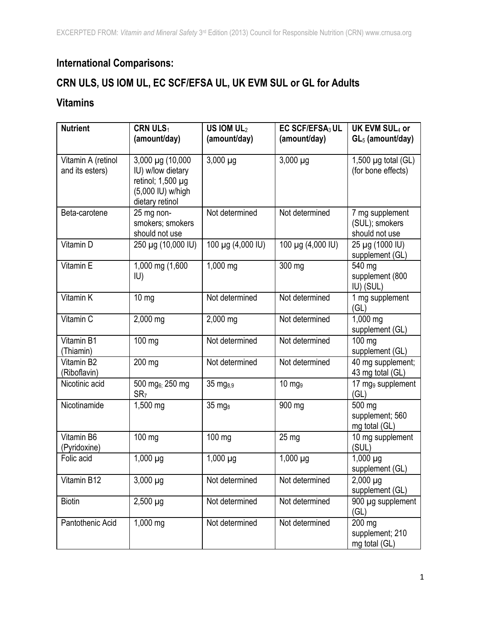# **International Comparisons:**

## **CRN ULS, US IOM UL, EC SCF/EFSA UL, UK EVM SUL or GL for Adults**

#### **Vitamins**

| <b>Nutrient</b>                       | <b>CRN ULS1</b><br>(amount/day)                                                                         | US IOM $UL2$<br>(amount/day) | EC SCF/EFSA <sub>3</sub> UL<br>(amount/day) | UK EVM SUL <sub>4</sub> or<br>$GL5$ (amount/day)    |
|---------------------------------------|---------------------------------------------------------------------------------------------------------|------------------------------|---------------------------------------------|-----------------------------------------------------|
| Vitamin A (retinol<br>and its esters) | 3,000 µg (10,000<br>IU) w/low dietary<br>retinol; $1,500 \mu$ g<br>(5,000 IU) w/high<br>dietary retinol | $3,000 \mu g$                | $3,000 \mu g$                               | 1,500 $\mu$ g total (GL)<br>(for bone effects)      |
| Beta-carotene                         | 25 mg non-<br>smokers; smokers<br>should not use                                                        | Not determined               | Not determined                              | 7 mg supplement<br>(SUL); smokers<br>should not use |
| Vitamin D                             | 250 µg (10,000 IU)                                                                                      | 100 µg (4,000 IU)            | 100 µg (4,000 IU)                           | 25 µg (1000 IU)<br>supplement (GL)                  |
| Vitamin E                             | 1,000 mg (1,600<br>IU)                                                                                  | 1,000 mg                     | 300 mg                                      | 540 mg<br>supplement (800<br>IU) (SUL)              |
| Vitamin K                             | $10 \, mg$                                                                                              | Not determined               | Not determined                              | 1 mg supplement<br>(GL)                             |
| Vitamin C                             | 2,000 mg                                                                                                | 2,000 mg                     | Not determined                              | 1,000 mg<br>supplement (GL)                         |
| Vitamin B1<br>(Thiamin)               | 100 mg                                                                                                  | Not determined               | Not determined                              | 100 mg<br>supplement (GL)                           |
| Vitamin B2<br>(Riboflavin)            | 200 mg                                                                                                  | Not determined               | Not determined                              | 40 mg supplement;<br>43 mg total (GL)               |
| Nicotinic acid                        | 500 mg <sub>6:</sub> 250 mg<br>SR <sub>7</sub>                                                          | 35 mg <sub>8.9</sub>         | $10 \text{ mg}$                             | 17 mg <sub>9</sub> supplement<br>(GL)               |
| Nicotinamide                          | 1,500 mg                                                                                                | 35 mg <sub>8</sub>           | 900 mg                                      | 500 mg<br>supplement; 560<br>mg total (GL)          |
| Vitamin B6<br>(Pyridoxine)            | 100 mg                                                                                                  | 100 mg                       | 25 mg                                       | 10 mg supplement<br>(SUL)                           |
| Folic acid                            | $1,000 \mu g$                                                                                           | $1,000 \mu g$                | $1,000 \mu g$                               | $1,000 \mu g$<br>supplement (GL)                    |
| Vitamin B12                           | $3,000 \mu g$                                                                                           | Not determined               | Not determined                              | $2,000 \mu$ g<br>supplement (GL)                    |
| <b>Biotin</b>                         | $2,500 \mu g$                                                                                           | Not determined               | Not determined                              | 900 µg supplement<br>(GL)                           |
| Pantothenic Acid                      | 1,000 mg                                                                                                | Not determined               | Not determined                              | 200 mg<br>supplement; 210<br>mg total (GL)          |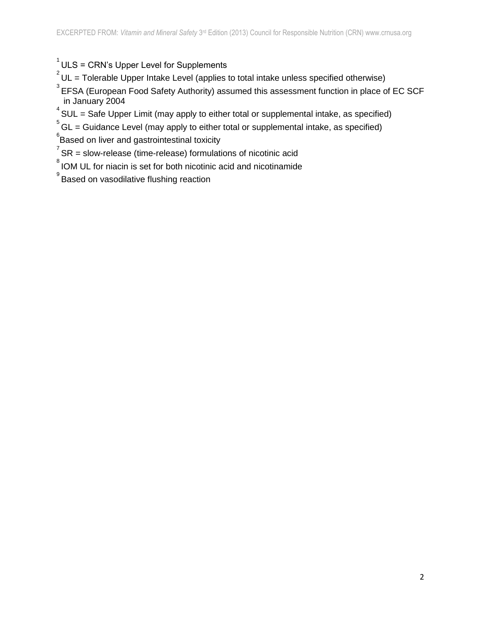#### $1$  ULS = CRN's Upper Level for Supplements

- $^{2}$ UL = Tolerable Upper Intake Level (applies to total intake unless specified otherwise)
- $^3$ EFSA (European Food Safety Authority) assumed this assessment function in place of EC SCF in January 2004
- $4$  SUL = Safe Upper Limit (may apply to either total or supplemental intake, as specified)
- $5$  GL = Guidance Level (may apply to either total or supplemental intake, as specified)
- ${}^{6}$ Based on liver and gastrointestinal toxicity
- $7$  SR = slow-release (time-release) formulations of nicotinic acid
- <sup>8</sup> IOM UL for niacin is set for both nicotinic acid and nicotinamide
- $^{\circ}$ Based on vasodilative flushing reaction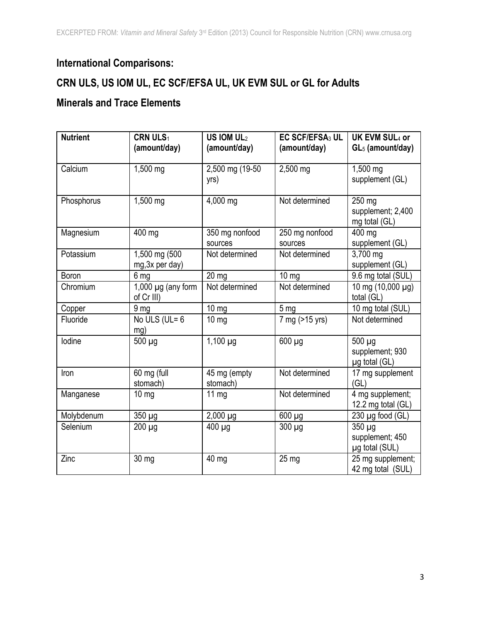## **International Comparisons:**

## **CRN ULS, US IOM UL, EC SCF/EFSA UL, UK EVM SUL or GL for Adults**

#### **Minerals and Trace Elements**

| <b>Nutrient</b> | CRN ULS <sub>1</sub><br>(amount/day)  | US IOM $UL2$<br>(amount/day) | EC SCF/EFSA <sub>3</sub> UL<br>(amount/day) | UK EVM SUL4 or<br>$GL5$ (amount/day)         |
|-----------------|---------------------------------------|------------------------------|---------------------------------------------|----------------------------------------------|
| Calcium         | 1,500 mg                              | 2,500 mg (19-50)<br>yrs)     | 2,500 mg                                    | 1,500 mg<br>supplement (GL)                  |
| Phosphorus      | 1,500 mg                              | 4,000 mg                     | Not determined                              | 250 mg<br>supplement; 2,400<br>mg total (GL) |
| Magnesium       | 400 mg                                | 350 mg nonfood<br>sources    | 250 mg nonfood<br>sources                   | 400 mg<br>supplement (GL)                    |
| Potassium       | 1,500 mg (500<br>mg, 3x per day)      | Not determined               | Not determined                              | 3,700 mg<br>supplement (GL)                  |
| Boron           | 6 mg                                  | 20 mg                        | $10 \text{ mg}$                             | 9.6 mg total (SUL)                           |
| Chromium        | 1,000 $\mu$ g (any form<br>of Cr III) | Not determined               | Not determined                              | 10 mg (10,000 µg)<br>total (GL)              |
| Copper          | 9 <sub>mg</sub>                       | $10 \text{ mg}$              | 5 mg                                        | 10 mg total (SUL)                            |
| Fluoride        | No ULS (UL= $6$<br>mg)                | $10 \text{ mg}$              | 7 mg (>15 yrs)                              | Not determined                               |
| lodine          | $500 \mu g$                           | $1,100 \mu g$                | $600 \mu g$                                 | 500 µg<br>supplement; 930<br>µg total (GL)   |
| Iron            | 60 mg (full<br>stomach)               | 45 mg (empty<br>stomach)     | Not determined                              | 17 mg supplement<br>(GL)                     |
| Manganese       | $10 \, mg$                            | $11 \text{ mg}$              | Not determined                              | 4 mg supplement;<br>12.2 mg total (GL)       |
| Molybdenum      | 350 µg                                | $2,000 \mu g$                | 600 µg                                      | $230 \mu g$ food (GL)                        |
| Selenium        | $200 \mu g$                           | $400 \mu$ g                  | $300 \mu g$                                 | 350 µg<br>supplement; 450<br>µg total (SUL)  |
| Zinc            | 30 mg                                 | 40 mg                        | $25 \text{ mg}$                             | 25 mg supplement;<br>42 mg total (SUL)       |